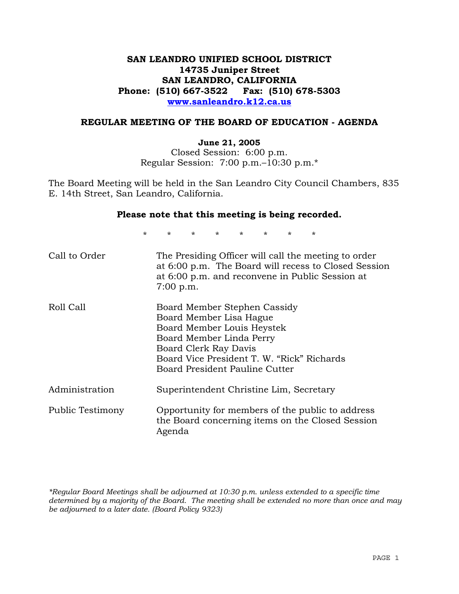# **SAN LEANDRO UNIFIED SCHOOL DISTRICT 14735 Juniper Street SAN LEANDRO, CALIFORNIA Phone: (510) 667-3522 Fax: (510) 678-5303 www.sanleandro.k12.ca.us**

### **REGULAR MEETING OF THE BOARD OF EDUCATION - AGENDA**

### **June 21, 2005**

Closed Session: 6:00 p.m. Regular Session: 7:00 p.m.–10:30 p.m.\*

The Board Meeting will be held in the San Leandro City Council Chambers, 835 E. 14th Street, San Leandro, California.

### **Please note that this meeting is being recorded.**

\* \* \* \* \* \* \* \* Call to Order The Presiding Officer will call the meeting to order at 6:00 p.m. The Board will recess to Closed Session at 6:00 p.m. and reconvene in Public Session at 7:00 p.m. Roll Call Board Member Stephen Cassidy Board Member Lisa Hague Board Member Louis Heystek Board Member Linda Perry Board Clerk Ray Davis Board Vice President T. W. "Rick" Richards Board President Pauline Cutter Administration Superintendent Christine Lim, Secretary Public Testimony Opportunity for members of the public to address the Board concerning items on the Closed Session Agenda

*\*Regular Board Meetings shall be adjourned at 10:30 p.m. unless extended to a specific time determined by a majority of the Board. The meeting shall be extended no more than once and may be adjourned to a later date. (Board Policy 9323)*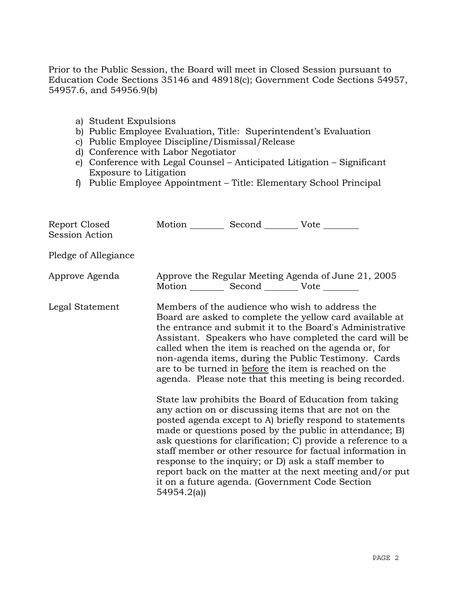Prior to the Public Session, the Board will meet in Closed Session pursuant to Education Code Sections 35146 and 48918(c); Government Code Sections 54957, 54957.6, and 54956.9(b)

- a) Student Expulsions
- b) Public Employee Evaluation, Title: Superintendent's Evaluation
- c) Public Employee Discipline/Dismissal/Release
- d) Conference with Labor Negotiator
- e) Conference with Legal Counsel Anticipated Litigation Significant Exposure to Litigation
- f) Public Employee Appointment Title: Elementary School Principal

| Report Closed<br>Session Action | Motion Second Vote                                     |                                                                                                                                                                                                                                                                                                                                                                                                                                                                                                                                                                                                                                                                                                                                                                                                                                                                                                                                                                                                                        |
|---------------------------------|--------------------------------------------------------|------------------------------------------------------------------------------------------------------------------------------------------------------------------------------------------------------------------------------------------------------------------------------------------------------------------------------------------------------------------------------------------------------------------------------------------------------------------------------------------------------------------------------------------------------------------------------------------------------------------------------------------------------------------------------------------------------------------------------------------------------------------------------------------------------------------------------------------------------------------------------------------------------------------------------------------------------------------------------------------------------------------------|
| Pledge of Allegiance            |                                                        |                                                                                                                                                                                                                                                                                                                                                                                                                                                                                                                                                                                                                                                                                                                                                                                                                                                                                                                                                                                                                        |
| Approve Agenda                  | Motion ___________ Second _____________ Vote _________ | Approve the Regular Meeting Agenda of June 21, 2005                                                                                                                                                                                                                                                                                                                                                                                                                                                                                                                                                                                                                                                                                                                                                                                                                                                                                                                                                                    |
| Legal Statement                 | 54954.2(a)                                             | Members of the audience who wish to address the<br>Board are asked to complete the yellow card available at<br>the entrance and submit it to the Board's Administrative<br>Assistant. Speakers who have completed the card will be<br>called when the item is reached on the agenda or, for<br>non-agenda items, during the Public Testimony. Cards<br>are to be turned in before the item is reached on the<br>agenda. Please note that this meeting is being recorded.<br>State law prohibits the Board of Education from taking<br>any action on or discussing items that are not on the<br>posted agenda except to A) briefly respond to statements<br>made or questions posed by the public in attendance; B)<br>ask questions for clarification; C) provide a reference to a<br>staff member or other resource for factual information in<br>response to the inquiry; or D) ask a staff member to<br>report back on the matter at the next meeting and/or put<br>it on a future agenda. (Government Code Section |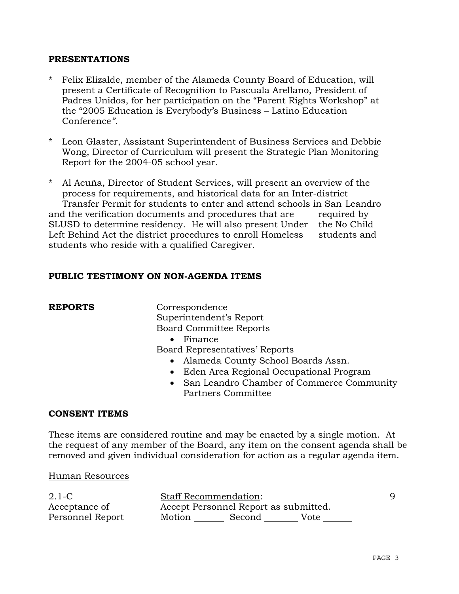## **PRESENTATIONS**

- Felix Elizalde, member of the Alameda County Board of Education, will present a Certificate of Recognition to Pascuala Arellano, President of Padres Unidos, for her participation on the "Parent Rights Workshop" at the "2005 Education is Everybody's Business – Latino Education Conference*"*.
- Leon Glaster, Assistant Superintendent of Business Services and Debbie Wong, Director of Curriculum will present the Strategic Plan Monitoring Report for the 2004-05 school year.

\* Al Acuña, Director of Student Services, will present an overview of the process for requirements, and historical data for an Inter-district Transfer Permit for students to enter and attend schools in San Leandro and the verification documents and procedures that are required by SLUSD to determine residency. He will also present Under the No Child Left Behind Act the district procedures to enroll Homeless students and students who reside with a qualified Caregiver.

## **PUBLIC TESTIMONY ON NON-AGENDA ITEMS**

**REPORTS** Correspondence Superintendent's Report Board Committee Reports

• Finance

Board Representatives' Reports

- Alameda County School Boards Assn.
- Eden Area Regional Occupational Program
- San Leandro Chamber of Commerce Community Partners Committee

## **CONSENT ITEMS**

These items are considered routine and may be enacted by a single motion. At the request of any member of the Board, any item on the consent agenda shall be removed and given individual consideration for action as a regular agenda item.

### Human Resources

| $2.1-C$          | <b>Staff Recommendation:</b>          |        |      |  |
|------------------|---------------------------------------|--------|------|--|
| Acceptance of    | Accept Personnel Report as submitted. |        |      |  |
| Personnel Report | Motion                                | Second | Vote |  |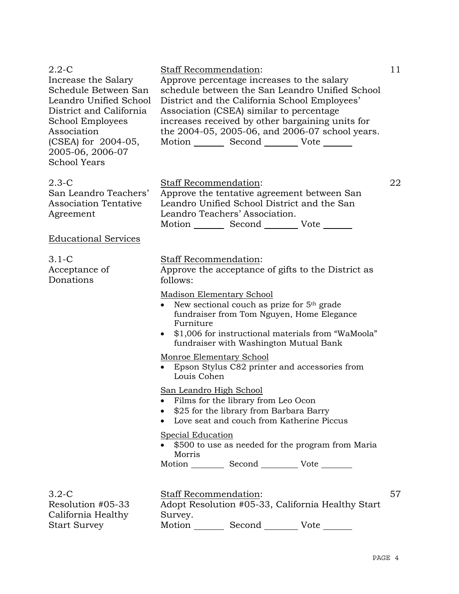| $2.2 - C$<br>Increase the Salary<br>Schedule Between San<br>Leandro Unified School<br>District and California<br>School Employees<br>Association<br>(CSEA) for 2004-05,<br>2005-06, 2006-07<br><b>School Years</b> | Staff Recommendation:<br>Approve percentage increases to the salary<br>schedule between the San Leandro Unified School<br>District and the California School Employees'<br>Association (CSEA) similar to percentage<br>increases received by other bargaining units for<br>the 2004-05, 2005-06, and 2006-07 school years.<br>Motion _________ Second __________ Vote _______ | 11 |
|--------------------------------------------------------------------------------------------------------------------------------------------------------------------------------------------------------------------|-------------------------------------------------------------------------------------------------------------------------------------------------------------------------------------------------------------------------------------------------------------------------------------------------------------------------------------------------------------------------------|----|
| $2.3-C$<br>San Leandro Teachers'<br><b>Association Tentative</b><br>Agreement                                                                                                                                      | Staff Recommendation:<br>Approve the tentative agreement between San<br>Leandro Unified School District and the San<br>Leandro Teachers' Association.<br>Motion Second Vote ______                                                                                                                                                                                            | 22 |
| <b>Educational Services</b>                                                                                                                                                                                        |                                                                                                                                                                                                                                                                                                                                                                               |    |
| $3.1-C$<br>Acceptance of<br>Donations                                                                                                                                                                              | Staff Recommendation:<br>Approve the acceptance of gifts to the District as<br>follows:<br>Madison Elementary School<br>New sectional couch as prize for 5 <sup>th</sup> grade<br>$\bullet$<br>fundraiser from Tom Nguyen, Home Elegance<br>Furniture<br>\$1,006 for instructional materials from "WaMoola"<br>fundraiser with Washington Mutual Bank                         |    |
|                                                                                                                                                                                                                    | Monroe Elementary School<br>Epson Stylus C82 printer and accessories from<br>Louis Cohen                                                                                                                                                                                                                                                                                      |    |
|                                                                                                                                                                                                                    | San Leandro High School<br>• Films for the library from Leo Ocon<br>\$25 for the library from Barbara Barry<br>Love seat and couch from Katherine Piccus                                                                                                                                                                                                                      |    |
|                                                                                                                                                                                                                    | <b>Special Education</b><br>\$500 to use as needed for the program from Maria<br>Morris<br>Motion __________ Second ____________ Vote ________                                                                                                                                                                                                                                |    |
| $3.2-C$<br>Resolution #05-33<br>California Healthy<br><b>Start Survey</b>                                                                                                                                          | Staff Recommendation:<br>Adopt Resolution #05-33, California Healthy Start<br>Survey.<br>Motion<br>Second<br>Vote                                                                                                                                                                                                                                                             | 57 |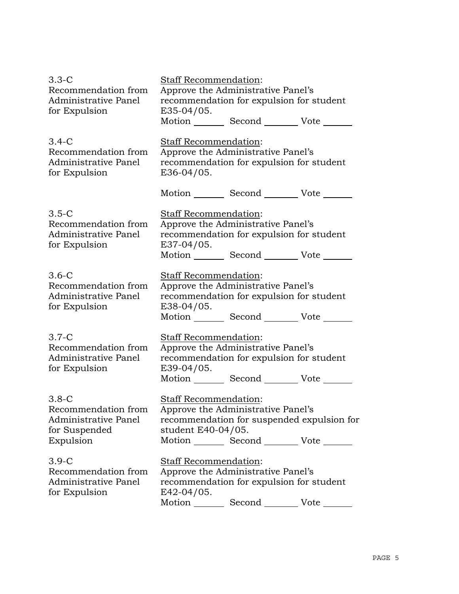| $3.3 - C$<br>Recommendation from<br>Administrative Panel<br>for Expulsion            | Staff Recommendation:<br>Approve the Administrative Panel's<br>recommendation for expulsion for student<br>E35-04/05.                                                                     |  |  |  |
|--------------------------------------------------------------------------------------|-------------------------------------------------------------------------------------------------------------------------------------------------------------------------------------------|--|--|--|
|                                                                                      | Motion _________ Second __________ Vote _______                                                                                                                                           |  |  |  |
| $3.4-C$<br>Recommendation from<br>Administrative Panel<br>for Expulsion              | Staff Recommendation:<br>Approve the Administrative Panel's<br>recommendation for expulsion for student<br>E36-04/05.                                                                     |  |  |  |
|                                                                                      | Motion _________ Second __________ Vote ______                                                                                                                                            |  |  |  |
| $3.5-C$<br>Recommendation from<br>Administrative Panel<br>for Expulsion              | Staff Recommendation:<br>Approve the Administrative Panel's<br>recommendation for expulsion for student<br>E37-04/05.<br>Motion Second Vote                                               |  |  |  |
| $3.6-C$<br>Recommendation from<br>Administrative Panel<br>for Expulsion              | Staff Recommendation:<br>Approve the Administrative Panel's<br>recommendation for expulsion for student<br>E38-04/05.<br>Motion Second Vote                                               |  |  |  |
| $3.7-C$<br>Recommendation from<br>Administrative Panel<br>for Expulsion              | <b>Staff Recommendation:</b><br>Approve the Administrative Panel's<br>recommendation for expulsion for student<br>E39-04/05.<br>Motion _________ Second __________ Vote ____              |  |  |  |
| $3.8-C$<br>Recommendation from<br>Administrative Panel<br>for Suspended<br>Expulsion | <b>Staff Recommendation:</b><br>Approve the Administrative Panel's<br>recommendation for suspended expulsion for<br>student E40-04/05.<br>Motion _________ Second __________ Vote _______ |  |  |  |
| $3.9-C$<br>Recommendation from<br>Administrative Panel<br>for Expulsion              | <b>Staff Recommendation:</b><br>Approve the Administrative Panel's<br>recommendation for expulsion for student<br>E42-04/05.<br>Motion _________ Second ___________ Vote _______          |  |  |  |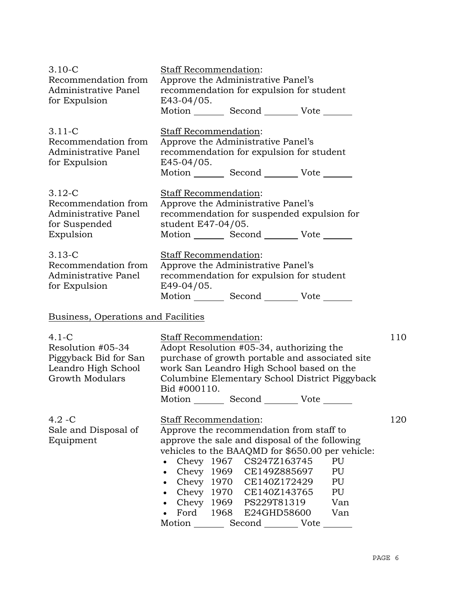| $3.10 - C$<br>Recommendation from<br>Administrative Panel<br>for Expulsion                      | Staff Recommendation:<br>Approve the Administrative Panel's<br>recommendation for expulsion for student<br>E43-04/05.<br>Motion Second Vote                                                                                                                                                                                                                                                                                                                           |     |
|-------------------------------------------------------------------------------------------------|-----------------------------------------------------------------------------------------------------------------------------------------------------------------------------------------------------------------------------------------------------------------------------------------------------------------------------------------------------------------------------------------------------------------------------------------------------------------------|-----|
| $3.11 - C$<br>Recommendation from<br>Administrative Panel<br>for Expulsion                      | Staff Recommendation:<br>Approve the Administrative Panel's<br>recommendation for expulsion for student<br>E45-04/05.<br>Motion _________ Second __________ Vote _______                                                                                                                                                                                                                                                                                              |     |
| $3.12 - C$<br>Recommendation from<br>Administrative Panel<br>for Suspended<br>Expulsion         | Staff Recommendation:<br>Approve the Administrative Panel's<br>recommendation for suspended expulsion for<br>student E47-04/05.<br>Motion _________ Second __________ Vote _______                                                                                                                                                                                                                                                                                    |     |
| $3.13 - C$<br>Recommendation from<br>Administrative Panel<br>for Expulsion                      | Staff Recommendation:<br>Approve the Administrative Panel's<br>recommendation for expulsion for student<br>$E49-04/05$ .<br>Motion _________ Second _________ Vote _______                                                                                                                                                                                                                                                                                            |     |
| Business, Operations and Facilities                                                             |                                                                                                                                                                                                                                                                                                                                                                                                                                                                       |     |
| $4.1-C$<br>Resolution #05-34<br>Piggyback Bid for San<br>Leandro High School<br>Growth Modulars | Staff Recommendation:<br>Adopt Resolution #05-34, authorizing the<br>purchase of growth portable and associated site<br>work San Leandro High School based on the<br>Columbine Elementary School District Piggyback<br>Bid #000110.<br>Motion _________ Second __________ Vote ______                                                                                                                                                                                 | 110 |
| $4.2 - C$<br>Sale and Disposal of<br>Equipment                                                  | Staff Recommendation:<br>Approve the recommendation from staff to<br>approve the sale and disposal of the following<br>vehicles to the BAAQMD for \$650.00 per vehicle:<br>Chevy 1967 CS247Z163745<br>PU<br>$\bullet$<br>Chevy 1969 CE149Z885697<br>PU<br>$\bullet$<br>Chevy 1970 CE140Z172429<br>PU<br>$\bullet$<br>Chevy<br>1970 CE140Z143765<br>PU<br>$\bullet$<br>Chevy 1969 PS229T81319<br>Van<br>1968<br>Ford<br>E24GHD58600<br>Van<br>Motion<br>Second<br>Vote | 120 |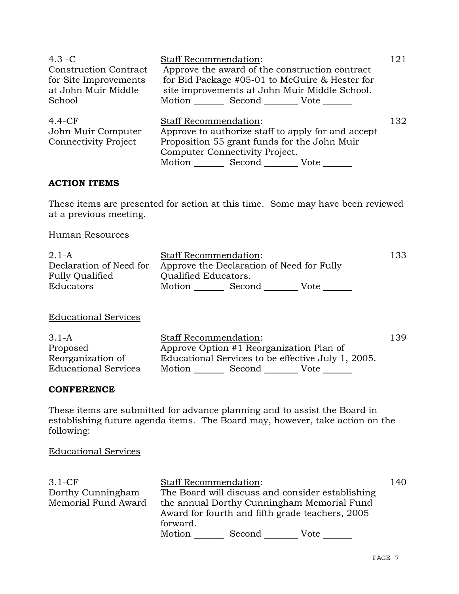| $4.3 - C$                    | <b>Staff Recommendation:</b>                       |                    |                                                | 121 |
|------------------------------|----------------------------------------------------|--------------------|------------------------------------------------|-----|
| <b>Construction Contract</b> | Approve the award of the construction contract     |                    |                                                |     |
| for Site Improvements        |                                                    |                    | for Bid Package #05-01 to McGuire & Hester for |     |
| at John Muir Middle          |                                                    |                    | site improvements at John Muir Middle School.  |     |
| School                       |                                                    | Motion Second Vote |                                                |     |
| $4.4-CF$                     | <b>Staff Recommendation:</b>                       |                    |                                                | 132 |
| John Muir Computer           | Approve to authorize staff to apply for and accept |                    |                                                |     |
| <b>Connectivity Project</b>  | Proposition 55 grant funds for the John Muir       |                    |                                                |     |
|                              | Computer Connectivity Project.                     |                    |                                                |     |
|                              | Motion<br>Second<br>Vote                           |                    |                                                |     |

# **ACTION ITEMS**

These items are presented for action at this time. Some may have been reviewed at a previous meeting.

Human Resources

| $2.1-A$                 | <b>Staff Recommendation:</b>              |        |      | 133 |
|-------------------------|-------------------------------------------|--------|------|-----|
| Declaration of Need for | Approve the Declaration of Need for Fully |        |      |     |
| <b>Fully Qualified</b>  | <b>Qualified Educators.</b>               |        |      |     |
| Educators               | Motion                                    | Second | Vote |     |

Educational Services

| $3.1-A$                     | Staff Recommendation:                              |        |      | 139 |
|-----------------------------|----------------------------------------------------|--------|------|-----|
| Proposed                    | Approve Option #1 Reorganization Plan of           |        |      |     |
| Reorganization of           | Educational Services to be effective July 1, 2005. |        |      |     |
| <b>Educational Services</b> | Motion                                             | Second | Vote |     |

## **CONFERENCE**

These items are submitted for advance planning and to assist the Board in establishing future agenda items. The Board may, however, take action on the following:

Educational Services

| $3.1-CF$            | <b>Staff Recommendation:</b>                     | 140 |  |
|---------------------|--------------------------------------------------|-----|--|
| Dorthy Cunningham   | The Board will discuss and consider establishing |     |  |
| Memorial Fund Award | the annual Dorthy Cunningham Memorial Fund       |     |  |
|                     | Award for fourth and fifth grade teachers, 2005  |     |  |
|                     | forward.                                         |     |  |
|                     | Motion<br>Second<br>Vote                         |     |  |